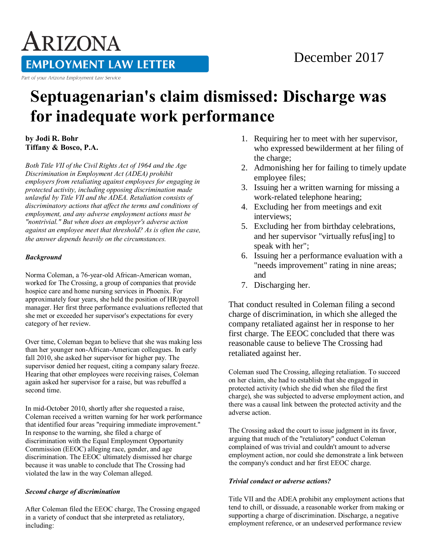# ARIZONA **EMPLOYMENT LAW LETTER**

Part of your Arizona Employment Law Service

## December 2017

# **Septuagenarian's claim dismissed: Discharge was for inadequate work performance**

**by Jodi R. Bohr Tiffany & Bosco, P.A.** 

*Both Title VII of the Civil Rights Act of 1964 and the Age Discrimination in Employment Act (ADEA) prohibit employers from retaliating against employees for engaging in protected activity, including opposing discrimination made unlawful by Title VII and the ADEA. Retaliation consists of discriminatory actions that affect the terms and conditions of employment, and any adverse employment actions must be "nontrivial." But when does an employer's adverse action against an employee meet that threshold? As is often the case, the answer depends heavily on the circumstances.*

### *Background*

Norma Coleman, a 76-year-old African-American woman, worked for The Crossing, a group of companies that provide hospice care and home nursing services in Phoenix. For approximately four years, she held the position of HR/payroll manager. Her first three performance evaluations reflected that she met or exceeded her supervisor's expectations for every category of her review.

Over time, Coleman began to believe that she was making less than her younger non-African-American colleagues. In early fall 2010, she asked her supervisor for higher pay. The supervisor denied her request, citing a company salary freeze. Hearing that other employees were receiving raises, Coleman again asked her supervisor for a raise, but was rebuffed a second time.

In mid-October 2010, shortly after she requested a raise, Coleman received a written warning for her work performance that identified four areas "requiring immediate improvement." In response to the warning, she filed a charge of discrimination with the Equal Employment Opportunity Commission (EEOC) alleging race, gender, and age discrimination. The EEOC ultimately dismissed her charge because it was unable to conclude that The Crossing had violated the law in the way Coleman alleged.

### *Second charge of discrimination*

After Coleman filed the EEOC charge, The Crossing engaged in a variety of conduct that she interpreted as retaliatory, including:

- 1. Requiring her to meet with her supervisor, who expressed bewilderment at her filing of the charge;
- 2. Admonishing her for failing to timely update employee files;
- 3. Issuing her a written warning for missing a work-related telephone hearing;
- 4. Excluding her from meetings and exit interviews;
- 5. Excluding her from birthday celebrations, and her supervisor "virtually refus[ing] to speak with her";
- 6. Issuing her a performance evaluation with a "needs improvement" rating in nine areas; and
- 7. Discharging her.

That conduct resulted in Coleman filing a second charge of discrimination, in which she alleged the company retaliated against her in response to her first charge. The EEOC concluded that there was reasonable cause to believe The Crossing had retaliated against her.

Coleman sued The Crossing, alleging retaliation. To succeed on her claim, she had to establish that she engaged in protected activity (which she did when she filed the first charge), she was subjected to adverse employment action, and there was a causal link between the protected activity and the adverse action.

The Crossing asked the court to issue judgment in its favor, arguing that much of the "retaliatory" conduct Coleman complained of was trivial and couldn't amount to adverse employment action, nor could she demonstrate a link between the company's conduct and her first EEOC charge.

### *Trivial conduct or adverse actions?*

Title VII and the ADEA prohibit any employment actions that tend to chill, or dissuade, a reasonable worker from making or supporting a charge of discrimination. Discharge, a negative employment reference, or an undeserved performance review